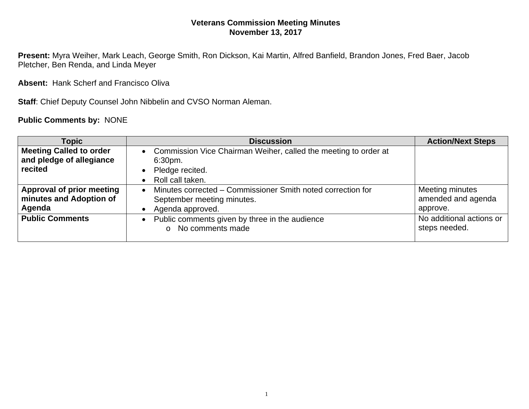## **Veterans Commission Meeting Minutes November 13, 2017**

**Present:** Myra Weiher, Mark Leach, George Smith, Ron Dickson, Kai Martin, Alfred Banfield, Brandon Jones, Fred Baer, Jacob Pletcher, Ben Renda, and Linda Meyer

**Absent:** Hank Scherf and Francisco Oliva

**Staff**: Chief Deputy Counsel John Nibbelin and CVSO Norman Aleman.

**Public Comments by:** NONE

| <b>Topic</b>                   | <b>Discussion</b>                                                            | <b>Action/Next Steps</b>                  |
|--------------------------------|------------------------------------------------------------------------------|-------------------------------------------|
| <b>Meeting Called to order</b> | Commission Vice Chairman Weiher, called the meeting to order at<br>$\bullet$ |                                           |
| and pledge of allegiance       | 6:30pm.                                                                      |                                           |
| recited                        | Pledge recited.                                                              |                                           |
|                                | Roll call taken.                                                             |                                           |
| Approval of prior meeting      | Minutes corrected – Commissioner Smith noted correction for                  | Meeting minutes                           |
| minutes and Adoption of        | September meeting minutes.                                                   | amended and agenda                        |
| Agenda                         | Agenda approved.                                                             | approve.                                  |
| <b>Public Comments</b>         | Public comments given by three in the audience<br>No comments made<br>$\cap$ | No additional actions or<br>steps needed. |
|                                |                                                                              |                                           |